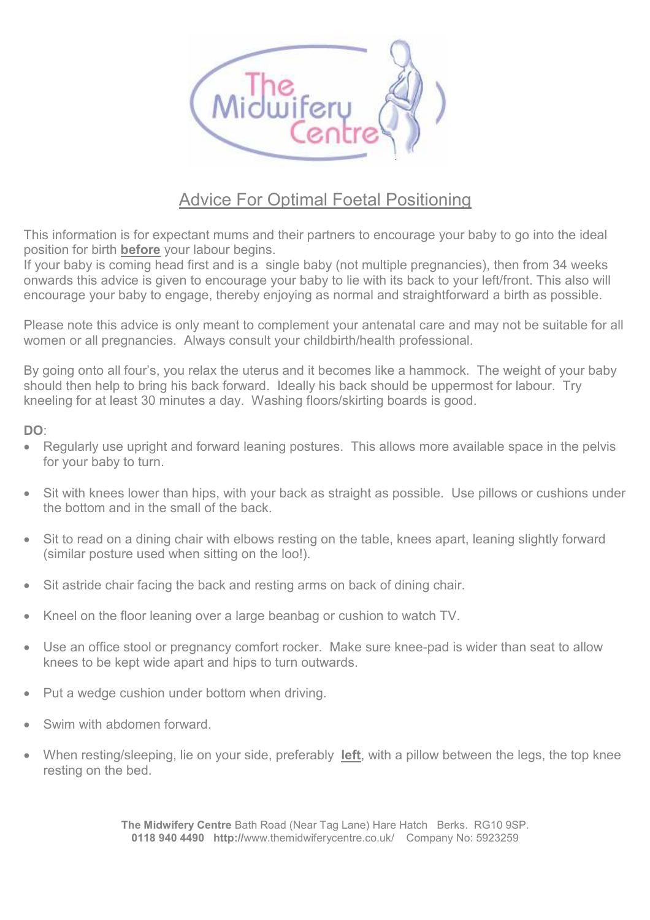

## Advice For Optimal Foetal Positioning

This information is for expectant mums and their partners to encourage your baby to go into the ideal position for birth **before** your labour begins.

If your baby is coming head first and is a single baby (not multiple pregnancies), then from 34 weeks onwards this advice is given to encourage your baby to lie with its back to your left/front. This also will encourage your baby to engage, thereby enjoying as normal and straightforward a birth as possible.

Please note this advice is only meant to complement your antenatal care and may not be suitable for all women or all pregnancies. Always consult your childbirth/health professional.

By going onto all four's, you relax the uterus and it becomes like a hammock. The weight of your baby should then help to bring his back forward. Ideally his back should be uppermost for labour. Try kneeling for at least 30 minutes a day. Washing floors/skirting boards is good.

## DO:

- Regularly use upright and forward leaning postures. This allows more available space in the pelvis for your baby to turn.
- Sit with knees lower than hips, with your back as straight as possible. Use pillows or cushions under the bottom and in the small of the back.
- Sit to read on a dining chair with elbows resting on the table, knees apart, leaning slightly forward (similar posture used when sitting on the loo!).
- Sit astride chair facing the back and resting arms on back of dining chair.
- Kneel on the floor leaning over a large beanbag or cushion to watch TV.
- Use an office stool or pregnancy comfort rocker. Make sure knee-pad is wider than seat to allow knees to be kept wide apart and hips to turn outwards.
- Put a wedge cushion under bottom when driving.
- Swim with abdomen forward.
- When resting/sleeping, lie on your side, preferably left, with a pillow between the legs, the top knee resting on the bed.

The Midwifery Centre Bath Road (Near Tag Lane) Hare Hatch Berks. RG10 9SP. 0118 940 4490 http://www.themidwiferycentre.co.uk/ Company No: 5923259